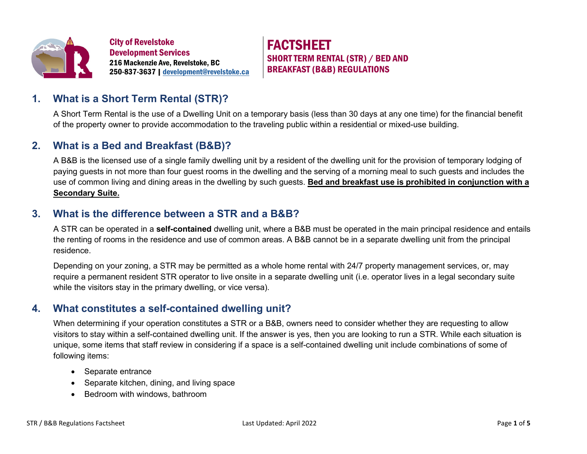

City of Revelstoke Development Services 216 Mackenzie Ave, Revelstoke, BC 250-837-3637 [| development@revelstoke.ca](mailto:development@revelstoke.ca) FACTSHEET SHORT TERM RENTAL (STR) / BED AND BREAKFAST (B&B) REGULATIONS

## **1. What is a Short Term Rental (STR)?**

A Short Term Rental is the use of a Dwelling Unit on a temporary basis (less than 30 days at any one time) for the financial benefit of the property owner to provide accommodation to the traveling public within a residential or mixed-use building.

### **2. What is a Bed and Breakfast (B&B)?**

A B&B is the licensed use of a single family dwelling unit by a resident of the dwelling unit for the provision of temporary lodging of paying guests in not more than four guest rooms in the dwelling and the serving of a morning meal to such guests and includes the use of common living and dining areas in the dwelling by such guests. **Bed and breakfast use is prohibited in conjunction with a Secondary Suite.**

## **3. What is the difference between a STR and a B&B?**

A STR can be operated in a **self-contained** dwelling unit, where a B&B must be operated in the main principal residence and entails the renting of rooms in the residence and use of common areas. A B&B cannot be in a separate dwelling unit from the principal residence.

Depending on your zoning, a STR may be permitted as a whole home rental with 24/7 property management services, or, may require a permanent resident STR operator to live onsite in a separate dwelling unit (i.e. operator lives in a legal secondary suite while the visitors stay in the primary dwelling, or vice versa).

## **4. What constitutes a self-contained dwelling unit?**

When determining if your operation constitutes a STR or a B&B, owners need to consider whether they are requesting to allow visitors to stay within a self-contained dwelling unit. If the answer is yes, then you are looking to run a STR. While each situation is unique, some items that staff review in considering if a space is a self-contained dwelling unit include combinations of some of following items:

- Separate entrance
- Separate kitchen, dining, and living space
- Bedroom with windows, bathroom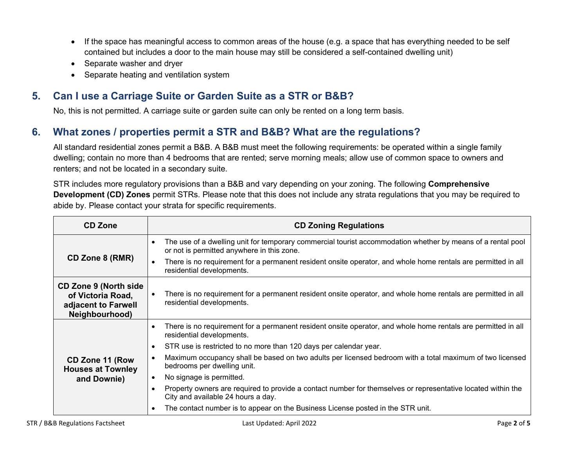- If the space has meaningful access to common areas of the house (e.g. a space that has everything needed to be self contained but includes a door to the main house may still be considered a self-contained dwelling unit)
- Separate washer and dryer
- Separate heating and ventilation system

## **5. Can I use a Carriage Suite or Garden Suite as a STR or B&B?**

No, this is not permitted. A carriage suite or garden suite can only be rented on a long term basis.

# **6. What zones / properties permit a STR and B&B? What are the regulations?**

All standard residential zones permit a B&B. A B&B must meet the following requirements: be operated within a single family dwelling; contain no more than 4 bedrooms that are rented; serve morning meals; allow use of common space to owners and renters; and not be located in a secondary suite.

STR includes more regulatory provisions than a B&B and vary depending on your zoning. The following **Comprehensive Development (CD) Zones** permit STRs. Please note that this does not include any strata regulations that you may be required to abide by. Please contact your strata for specific requirements.

| <b>CD Zone</b>                                                                              | <b>CD Zoning Regulations</b>                                                                                                                                           |  |
|---------------------------------------------------------------------------------------------|------------------------------------------------------------------------------------------------------------------------------------------------------------------------|--|
| CD Zone 8 (RMR)                                                                             | The use of a dwelling unit for temporary commercial tourist accommodation whether by means of a rental pool<br>$\bullet$<br>or not is permitted anywhere in this zone. |  |
|                                                                                             | There is no requirement for a permanent resident onsite operator, and whole home rentals are permitted in all<br>$\bullet$<br>residential developments.                |  |
| <b>CD Zone 9 (North side)</b><br>of Victoria Road,<br>adjacent to Farwell<br>Neighbourhood) | There is no requirement for a permanent resident onsite operator, and whole home rentals are permitted in all<br>$\bullet$<br>residential developments.                |  |
|                                                                                             | There is no requirement for a permanent resident onsite operator, and whole home rentals are permitted in all<br>$\bullet$<br>residential developments.                |  |
|                                                                                             | STR use is restricted to no more than 120 days per calendar year.<br>$\bullet$                                                                                         |  |
| CD Zone 11 (Row<br><b>Houses at Townley</b>                                                 | Maximum occupancy shall be based on two adults per licensed bedroom with a total maximum of two licensed<br>$\bullet$<br>bedrooms per dwelling unit.                   |  |
| and Downie)                                                                                 | No signage is permitted.<br>$\bullet$                                                                                                                                  |  |
|                                                                                             | Property owners are required to provide a contact number for themselves or representative located within the<br>$\bullet$<br>City and available 24 hours a day.        |  |
|                                                                                             | The contact number is to appear on the Business License posted in the STR unit.<br>$\bullet$                                                                           |  |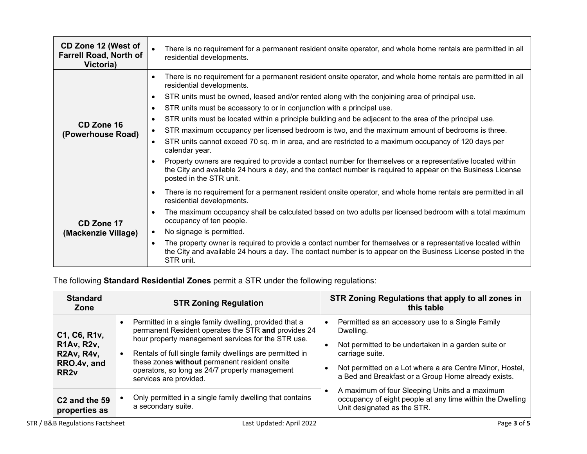| CD Zone 12 (West of<br><b>Farrell Road, North of</b><br>Victoria) | There is no requirement for a permanent resident onsite operator, and whole home rentals are permitted in all<br>residential developments.                                                                                                                        |  |
|-------------------------------------------------------------------|-------------------------------------------------------------------------------------------------------------------------------------------------------------------------------------------------------------------------------------------------------------------|--|
|                                                                   | There is no requirement for a permanent resident onsite operator, and whole home rentals are permitted in all<br>$\bullet$<br>residential developments.                                                                                                           |  |
|                                                                   | STR units must be owned, leased and/or rented along with the conjoining area of principal use.<br>$\bullet$                                                                                                                                                       |  |
|                                                                   | STR units must be accessory to or in conjunction with a principal use.<br>$\bullet$                                                                                                                                                                               |  |
|                                                                   | STR units must be located within a principle building and be adjacent to the area of the principal use.<br>$\bullet$                                                                                                                                              |  |
| CD Zone 16<br>(Powerhouse Road)                                   | STR maximum occupancy per licensed bedroom is two, and the maximum amount of bedrooms is three.<br>$\bullet$                                                                                                                                                      |  |
|                                                                   | STR units cannot exceed 70 sq. m in area, and are restricted to a maximum occupancy of 120 days per<br>$\bullet$<br>calendar year.                                                                                                                                |  |
|                                                                   | Property owners are required to provide a contact number for themselves or a representative located within<br>$\bullet$<br>the City and available 24 hours a day, and the contact number is required to appear on the Business License<br>posted in the STR unit. |  |
|                                                                   | There is no requirement for a permanent resident onsite operator, and whole home rentals are permitted in all<br>$\bullet$<br>residential developments.                                                                                                           |  |
| CD Zone 17                                                        | The maximum occupancy shall be calculated based on two adults per licensed bedroom with a total maximum<br>$\bullet$<br>occupancy of ten people.                                                                                                                  |  |
| (Mackenzie Village)                                               | No signage is permitted.<br>$\bullet$                                                                                                                                                                                                                             |  |
|                                                                   | The property owner is required to provide a contact number for themselves or a representative located within<br>$\bullet$<br>the City and available 24 hours a day. The contact number is to appear on the Business License posted in the<br>STR unit.            |  |

The following **Standard Residential Zones** permit a STR under the following regulations:

| <b>Standard</b><br>Zone                                                                    | <b>STR Zoning Regulation</b>                                                                                                                                                                                                                                                                                                                                 | STR Zoning Regulations that apply to all zones in<br>this table                                                                                                                                                                                            |
|--------------------------------------------------------------------------------------------|--------------------------------------------------------------------------------------------------------------------------------------------------------------------------------------------------------------------------------------------------------------------------------------------------------------------------------------------------------------|------------------------------------------------------------------------------------------------------------------------------------------------------------------------------------------------------------------------------------------------------------|
| C1, C6, R1v,<br><b>R1Av, R2v,</b><br><b>R2Av, R4v,</b><br>RRO.4v, and<br>RR <sub>2</sub> v | Permitted in a single family dwelling, provided that a<br>permanent Resident operates the STR and provides 24<br>hour property management services for the STR use.<br>Rentals of full single family dwellings are permitted in<br>these zones without permanent resident onsite<br>operators, so long as 24/7 property management<br>services are provided. | Permitted as an accessory use to a Single Family<br>Dwelling.<br>Not permitted to be undertaken in a garden suite or<br>carriage suite.<br>Not permitted on a Lot where a are Centre Minor, Hostel,<br>a Bed and Breakfast or a Group Home already exists. |
| C <sub>2</sub> and the 59<br>properties as                                                 | Only permitted in a single family dwelling that contains<br>a secondary suite.                                                                                                                                                                                                                                                                               | A maximum of four Sleeping Units and a maximum<br>occupancy of eight people at any time within the Dwelling<br>Unit designated as the STR.                                                                                                                 |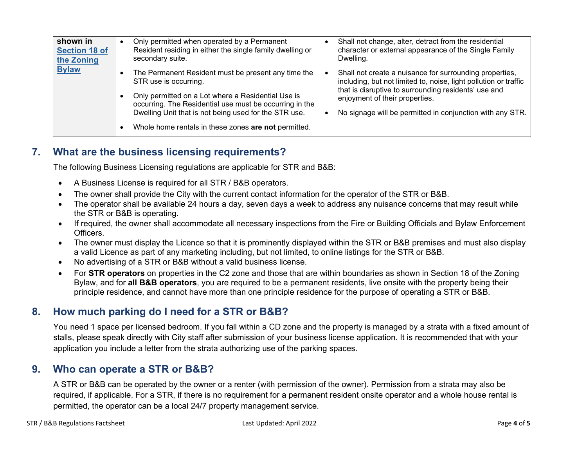| shown in             | Only permitted when operated by a Permanent                                                                                                                                                                                                                                                                    | Shall not change, alter, detract from the residential                                                                                                                                                                                                                              |
|----------------------|----------------------------------------------------------------------------------------------------------------------------------------------------------------------------------------------------------------------------------------------------------------------------------------------------------------|------------------------------------------------------------------------------------------------------------------------------------------------------------------------------------------------------------------------------------------------------------------------------------|
| <b>Section 18 of</b> | Resident residing in either the single family dwelling or                                                                                                                                                                                                                                                      | character or external appearance of the Single Family                                                                                                                                                                                                                              |
| the Zoning           | secondary suite.                                                                                                                                                                                                                                                                                               | Dwelling.                                                                                                                                                                                                                                                                          |
| <b>Bylaw</b>         | The Permanent Resident must be present any time the<br>STR use is occurring.<br>Only permitted on a Lot where a Residential Use is<br>occurring. The Residential use must be occurring in the<br>Dwelling Unit that is not being used for the STR use.<br>Whole home rentals in these zones are not permitted. | Shall not create a nuisance for surrounding properties,<br>including, but not limited to, noise, light pollution or traffic<br>that is disruptive to surrounding residents' use and<br>enjoyment of their properties.<br>No signage will be permitted in conjunction with any STR. |

## **7. What are the business licensing requirements?**

The following Business Licensing regulations are applicable for STR and B&B:

- A Business License is required for all STR / B&B operators.
- The owner shall provide the City with the current contact information for the operator of the STR or B&B.
- The operator shall be available 24 hours a day, seven days a week to address any nuisance concerns that may result while the STR or B&B is operating.
- If required, the owner shall accommodate all necessary inspections from the Fire or Building Officials and Bylaw Enforcement Officers.
- The owner must display the Licence so that it is prominently displayed within the STR or B&B premises and must also display a valid Licence as part of any marketing including, but not limited, to online listings for the STR or B&B.
- No advertising of a STR or B&B without a valid business license.
- For **STR operators** on properties in the C2 zone and those that are within boundaries as shown in Section 18 of the Zoning Bylaw, and for **all B&B operators**, you are required to be a permanent residents, live onsite with the property being their principle residence, and cannot have more than one principle residence for the purpose of operating a STR or B&B.

### **8. How much parking do I need for a STR or B&B?**

You need 1 space per licensed bedroom. If you fall within a CD zone and the property is managed by a strata with a fixed amount of stalls, please speak directly with City staff after submission of your business license application. It is recommended that with your application you include a letter from the strata authorizing use of the parking spaces.

### **9. Who can operate a STR or B&B?**

A STR or B&B can be operated by the owner or a renter (with permission of the owner). Permission from a strata may also be required, if applicable. For a STR, if there is no requirement for a permanent resident onsite operator and a whole house rental is permitted, the operator can be a local 24/7 property management service.